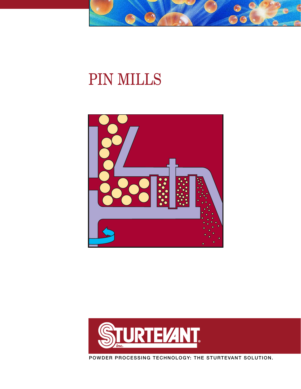

# PIN MILLS





**POWDER PROCESSING TECHNOLOGY: THE STURTEVANT SOLUTION.**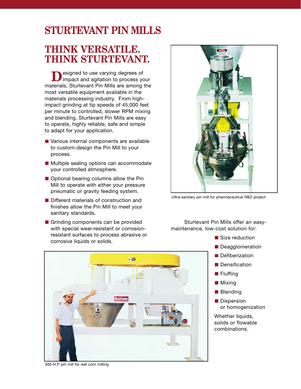# **STURTEVANT PIN MILLS**

# **THINK VERSATILE. THINK STURTEVANT.**

**D**esigned to use varying degrees of<br> **D**impact and agitation to process your materials, Sturtevant Pin Mills are among the most versatile equipment available in the materials processing industry. From highimpact grinding at tip speeds of 45,000 feet per minute to controlled, slower RPM mixing and blending, Sturtevant Pin Mills are easy to operate, highly reliable, safe and simple to adapt for your application.

- Various internal components are available to custom-design the Pin Mill to your process.
- Multiple sealing options can accommodate your controlled atmosphere.
- Optional bearing columns allow the Pin Mill to operate with either your pressure pneumatic or gravity feeding system.
- Different materials of construction and finishes allow the Pin Mill to meet your sanitary standards.
- Grinding components can be provided with special wear-resistant or corrosionresistant surfaces to process abrasive or corrosive liquids or solids.

Ultra-sanitary pin mill for pharmaceutical R&D project

Sturtevant Pin Mills offer an easymaintenance, low-cost solution for:

- Size reduction
- Deagglomeration
- **Defiberization**
- Densification
- **Fluffing**
- **Mixing**
- **Blending**
- **Dispersion** or homogenization

Whether liquids, solids or flowable combinations.



300-H.P. pin mill for wet corn milling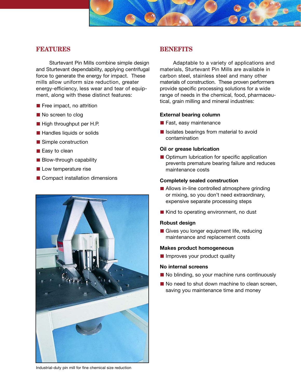### **FEATURES**

Sturtevant Pin Mills combine simple design and Sturtevant dependability, applying centrifugal force to generate the energy for impact. These mills allow uniform size reduction, greater energy-efficiency, less wear and tear of equipment, along with these distinct features:

- $\blacksquare$  Free impact, no attrition
- No screen to clog
- High throughput per H.P.
- Handles liquids or solids
- Simple construction
- Easy to clean
- $\blacksquare$  Blow-through capability
- **Low temperature rise**
- Compact installation dimensions



### **BENEFITS**

Adaptable to a variety of applications and materials, Sturtevant Pin Mills are available in carbon steel, stainless steel and many other materials of construction. These proven performers provide specific processing solutions for a wide range of needs in the chemical, food, pharmaceutical, grain milling and mineral industries:

#### **External bearing column**

- **Fast, easy maintenance**
- $\blacksquare$  Isolates bearings from material to avoid contamination

#### **Oil or grease lubrication**

■ Optimum lubrication for specific application prevents premature bearing failure and reduces maintenance costs

#### **Completely sealed construction**

- **Allows in-line controlled atmosphere grinding** or mixing, so you don't need extraordinary, expensive separate processing steps
- Kind to operating environment, no dust

#### **Robust design**

Gives you longer equipment life, reducing maintenance and replacement costs

#### **Makes product homogeneous**

**Improves your product quality** 

#### **No internal screens**

- No blinding, so your machine runs continuously
- No need to shut down machine to clean screen, saving you maintenance time and money

Industrial-duty pin mill for fine chemical size reduction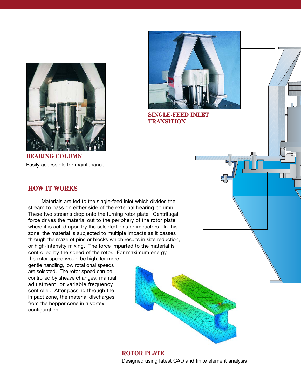

**SINGLE-FEED INLET TRANSITION**

**BEARING COLUMN** Easily accessible for maintenance

## **HOW IT WORKS**

Materials are fed to the single-feed inlet which divides the stream to pass on either side of the external bearing column. These two streams drop onto the turning rotor plate. Centrifugal force drives the material out to the periphery of the rotor plate where it is acted upon by the selected pins or impactors. In this zone, the material is subjected to multiple impacts as it passes through the maze of pins or blocks which results in size reduction, or high-intensity mixing. The force imparted to the material is controlled by the speed of the rotor. For maximum energy,

the rotor speed would be high; for more gentle handling, low rotational speeds are selected. The rotor speed can be controlled by sheave changes, manual adjustment, or variable frequency controller. After passing through the impact zone, the material discharges from the hopper cone in a vortex configuration.



**ROTOR PLATE** Designed using latest CAD and finite element analysis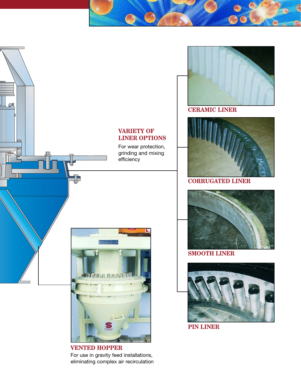

For use in gravity feed installations, eliminating complex air recirculation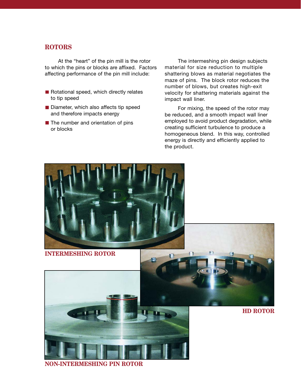## **ROTORS**

At the "heart" of the pin mill is the rotor to which the pins or blocks are affixed. Factors affecting performance of the pin mill include:

- Rotational speed, which directly relates to tip speed
- Diameter, which also affects tip speed and therefore impacts energy
- $\blacksquare$  The number and orientation of pins or blocks

The intermeshing pin design subjects material for size reduction to multiple shattering blows as material negotiates the maze of pins. The block rotor reduces the number of blows, but creates high-exit velocity for shattering materials against the impact wall liner.

For mixing, the speed of the rotor may be reduced, and a smooth impact wall liner employed to avoid product degradation, while creating sufficient turbulence to produce a homogeneous blend. In this way, controlled energy is directly and efficiently applied to the product.



**NON-INTERMESHING PIN ROTOR**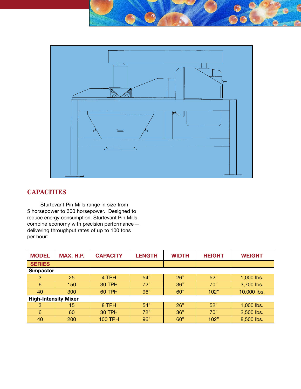

# **CAPACITIES**

Sturtevant Pin Mills range in size from 5 horsepower to 300 horsepower. Designed to reduce energy consumption, Sturtevant Pin Mills combine economy with precision performance delivering throughput rates of up to 100 tons per hour:

| <b>MODEL</b>                | MAX. H.P. | <b>CAPACITY</b> | <b>LENGTH</b> | <b>WIDTH</b> | <b>HEIGHT</b> | <b>WEIGHT</b> |
|-----------------------------|-----------|-----------------|---------------|--------------|---------------|---------------|
| <b>SERIES</b>               |           |                 |               |              |               |               |
| <b>Simpactor</b>            |           |                 |               |              |               |               |
| 3                           | 25        | 4 TPH           | 54"           | 26"          | 52"           | 1,000 lbs.    |
| 6                           | 150       | <b>30 TPH</b>   | 72"           | 36"          | 70"           | 3,700 lbs.    |
| 40                          | 300       | <b>60 TPH</b>   | 96"           | 60"          | 102"          | 10,000 lbs.   |
| <b>High-Intensity Mixer</b> |           |                 |               |              |               |               |
| 3                           | 15        | 8 TPH           | 54"           | 26"          | 52"           | 1,000 lbs.    |
| 6                           | 60        | <b>30 TPH</b>   | 72"           | 36"          | 70"           | 2,500 lbs.    |
| 40                          | 200       | <b>100 TPH</b>  | 96"           | 60"          | 102"          | 8,500 lbs.    |